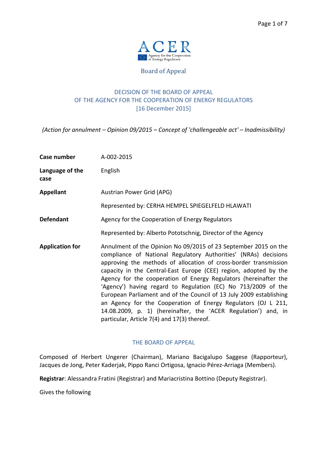

Board of Appeal

# DECISION OF THE BOARD OF APPEAL OF THE AGENCY FOR THE COOPERATION OF ENERGY REGULATORS [16 December 2015]

*(Action for annulment – Opinion 09/2015 – Concept of 'challengeable act' – Inadmissibility)* 

| Case number             | A-002-2015                                                                                                                                                                                                                                                                                                                                                                                                                                                                                                                                                                                                                                                               |
|-------------------------|--------------------------------------------------------------------------------------------------------------------------------------------------------------------------------------------------------------------------------------------------------------------------------------------------------------------------------------------------------------------------------------------------------------------------------------------------------------------------------------------------------------------------------------------------------------------------------------------------------------------------------------------------------------------------|
| Language of the<br>case | English                                                                                                                                                                                                                                                                                                                                                                                                                                                                                                                                                                                                                                                                  |
| <b>Appellant</b>        | Austrian Power Grid (APG)                                                                                                                                                                                                                                                                                                                                                                                                                                                                                                                                                                                                                                                |
|                         | Represented by: CERHA HEMPEL SPIEGELFELD HLAWATI                                                                                                                                                                                                                                                                                                                                                                                                                                                                                                                                                                                                                         |
| <b>Defendant</b>        | Agency for the Cooperation of Energy Regulators                                                                                                                                                                                                                                                                                                                                                                                                                                                                                                                                                                                                                          |
|                         | Represented by: Alberto Pototschnig, Director of the Agency                                                                                                                                                                                                                                                                                                                                                                                                                                                                                                                                                                                                              |
| <b>Application for</b>  | Annulment of the Opinion No 09/2015 of 23 September 2015 on the<br>compliance of National Regulatory Authorities' (NRAs) decisions<br>approving the methods of allocation of cross-border transmission<br>capacity in the Central-East Europe (CEE) region, adopted by the<br>Agency for the cooperation of Energy Regulators (hereinafter the<br>'Agency') having regard to Regulation (EC) No 713/2009 of the<br>European Parliament and of the Council of 13 July 2009 establishing<br>an Agency for the Cooperation of Energy Regulators (OJ L 211,<br>14.08.2009, p. 1) (hereinafter, the 'ACER Regulation') and, in<br>particular, Article 7(4) and 17(3) thereof. |

### THE BOARD OF APPEAL

Composed of Herbert Ungerer (Chairman), Mariano Bacigalupo Saggese (Rapporteur), Jacques de Jong, Peter Kaderjak, Pippo Ranci Ortigosa, Ignacio Pérez-Arriaga (Members).

**Registrar**: Alessandra Fratini (Registrar) and Mariacristina Bottino (Deputy Registrar).

Gives the following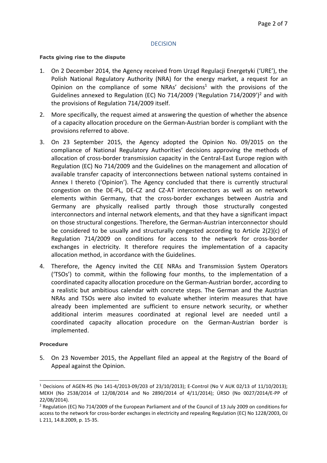### **DECISION**

#### **Facts giving rise to the dispute**

- 1. On 2 December 2014, the Agency received from Urząd Regulacji Energetyki ('URE'), the Polish National Regulatory Authority (NRA) for the energy market, a request for an Opinion on the compliance of some NRAs' decisions<sup>1</sup> with the provisions of the Guidelines annexed to Regulation (EC) No 714/2009 ('Regulation 714/2009')<sup>2</sup> and with the provisions of Regulation 714/2009 itself.
- 2. More specifically, the request aimed at answering the question of whether the absence of a capacity allocation procedure on the German-Austrian border is compliant with the provisions referred to above.
- 3. On 23 September 2015, the Agency adopted the Opinion No. 09/2015 on the compliance of National Regulatory Authorities' decisions approving the methods of allocation of cross-border transmission capacity in the Central-East Europe region with Regulation (EC) No 714/2009 and the Guidelines on the management and allocation of available transfer capacity of interconnections between national systems contained in Annex I thereto ('Opinion'). The Agency concluded that there is currently structural congestion on the DE-PL, DE-CZ and CZ-AT interconnectors as well as on network elements within Germany, that the cross-border exchanges between Austria and Germany are physically realised partly through those structurally congested interconnectors and internal network elements, and that they have a significant impact on those structural congestions. Therefore, the German-Austrian interconnector should be considered to be usually and structurally congested according to Article 2(2)(c) of Regulation 714/2009 on conditions for access to the network for cross-border exchanges in electricity. It therefore requires the implementation of a capacity allocation method, in accordance with the Guidelines.
- 4. Therefore, the Agency invited the CEE NRAs and Transmission System Operators ('TSOs') to commit, within the following four months, to the implementation of a coordinated capacity allocation procedure on the German-Austrian border, according to a realistic but ambitious calendar with concrete steps. The German and the Austrian NRAs and TSOs were also invited to evaluate whether interim measures that have already been implemented are sufficient to ensure network security, or whether additional interim measures coordinated at regional level are needed until a coordinated capacity allocation procedure on the German-Austrian border is implemented.

### **Procedure**

 $\overline{\phantom{a}}$ 

5. On 23 November 2015, the Appellant filed an appeal at the Registry of the Board of Appeal against the Opinion.

<sup>&</sup>lt;sup>1</sup> Decisions of AGEN-RS (No 141-4/2013-09/203 of 23/10/2013); E-Control (No V AUK 02/13 of 11/10/2013); MEKH (No 2538/2014 of 12/08/2014 and No 2890/2014 of 4/11/2014); ÚRSO (No 0027/2014/E-PP of 22/08/2014).

<sup>&</sup>lt;sup>2</sup> Regulation (EC) No 714/2009 of the European Parliament and of the Council of 13 July 2009 on conditions for access to the network for cross-border exchanges in electricity and repealing Regulation (EC) No 1228/2003, OJ L 211, 14.8.2009, p. 15-35.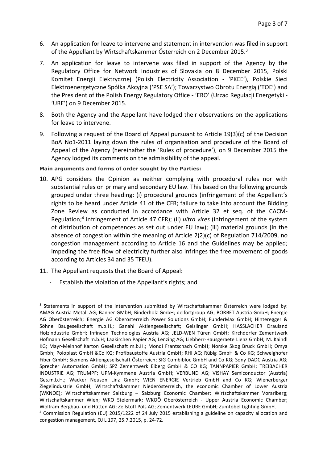- 6. An application for leave to intervene and statement in intervention was filed in support of the Appellant by Wirtschaftskammer Österreich on 2 December 2015.<sup>3</sup>
- 7. An application for leave to intervene was filed in support of the Agency by the Regulatory Office for Network Industries of Slovakia on 8 December 2015, Polski Komitet Energii Elektrycznej (Polish Electricity Association - 'PKEE'), Polskie Sieci Elektroenergetyczne Spółka Akcyjna ('PSE SA'); Towarzystwo Obrotu Energią ('TOE') and the President of the Polish Energy Regulatory Office - 'ERO' (Urzad Regulacji Energetyki - 'URE') on 9 December 2015.
- 8. Both the Agency and the Appellant have lodged their observations on the applications for leave to intervene.
- 9. Following a request of the Board of Appeal pursuant to Article 19(3)(c) of the Decision BoA No1-2011 laying down the rules of organisation and procedure of the Board of Appeal of the Agency (hereinafter the 'Rules of procedure'), on 9 December 2015 the Agency lodged its comments on the admissibility of the appeal.

### **Main arguments and forms of order sought by the Parties:**

- 10. APG considers the Opinion as neither complying with procedural rules nor with substantial rules on primary and secondary EU law. This based on the following grounds grouped under three heading: (i) procedural grounds (infringement of the Appellant's rights to be heard under Article 41 of the CFR; failure to take into account the Bidding Zone Review as conducted in accordance with Article 32 et seq. of the CACM-Regulation;<sup>4</sup> infringement of Article 47 CFR); (ii) *ultra vires* (infringement of the system of distribution of competences as set out under EU law); (iii) material grounds (in the absence of congestion within the meaning of Article 2(2)(c) of Regulation 714/2009, no congestion management according to Article 16 and the Guidelines may be applied; impeding the free flow of electricity further also infringes the free movement of goods according to Articles 34 and 35 TFEU).
- 11. The Appellant requests that the Board of Appeal:

 $\overline{\phantom{a}}$ 

Establish the violation of the Appellant's rights; and

<sup>&</sup>lt;sup>3</sup> Statements in support of the intervention submitted by Wirtschaftskammer Österreich were lodged by: AMAG Austria Metall AG; Banner GMbH; Binderholz GmbH; delfortgroup AG; BORBET Austria GmbH; Energie AG Oberösterreich; Energie AG Oberösterreich Power Solutions GmbH; FunderMax GmbH; Hinteregger & Söhne Baugesellschaft m.b.H.; Ganahl Aktiengesellschaft; Geislinger GmbH; HASSLACHER Drauland Holzindustrie GmbH; Infineon Technologies Austria AG; JELD-WEN Türen GmbH; Kirchdorfer Zementwerk Hofmann Gesellschaft m.b.H; Laakirchen Papier AG; Lenzing AG; Liebherr-Hausgeraete Lienz GmbH; M. Kaindl KG; Mayr-Melnhof Karton Gesellschaft m.b.H.; Mondi Frantschach GmbH; Norske Skog Bruck GmbH; Omya Gmbh; Poloplast GmbH &Co KG; Profibaustoffe Austria GmbH; RHI AG; Rübig GmbH & Co KG; Schweighofer Fiber GmbH; Siemens Aktiengesellschaft Österreich; SIG Combibloc GmbH and Co KG; Sony DADC Austria AG; Sprecher Automation GmbH; SPZ Zementwerk Eiberg GmbH & CO KG; TANNPAPIER GmbH; TREIBACHER INDUSTRIE AG; TRUMPF; UPM-Kymmene Austria GmbH; VERBUND AG; VISHAY Semiconductor (Austria) Ges.m.b.H.; Wacker Neuson Linz GmbH; WIEN ENERGIE Vertrieb GmbH and Co KG; Wienerberger Ziegelindustrie GmbH; Wirtschaftskammer Niederösterreich, the economic Chamber of Lower Austria (WKNOE); Wirtschaftskammer Salzburg – Salzburg Economic Chamber; Wirtschaftskammer Vorarlberg; Wirtschaftskammer Wien; WKO Steiermark; WKOÖ Oberösterreich - Upper Austria Economic Chamber; Wolfram Bergbau- und Hütten AG; Zellstoff Pöls AG; Zementwerk LEUBE GmbH; Zumtobel Lighting GmbH.

<sup>4</sup> Commission Regulation (EU) 2015/1222 of 24 July 2015 establishing a guideline on capacity allocation and congestion management, OJ L 197, 25.7.2015, p. 24-72.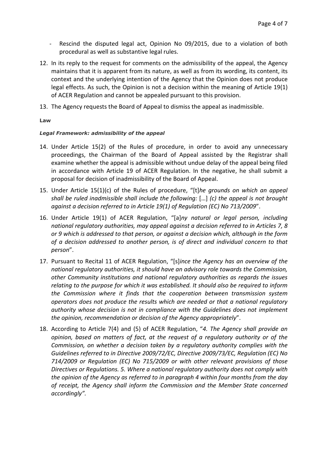- Rescind the disputed legal act, Opinion No 09/2015, due to a violation of both procedural as well as substantive legal rules.
- 12. In its reply to the request for comments on the admissibility of the appeal, the Agency maintains that it is apparent from its nature, as well as from its wording, its content, its context and the underlying intention of the Agency that the Opinion does not produce legal effects. As such, the Opinion is not a decision within the meaning of Article 19(1) of ACER Regulation and cannot be appealed pursuant to this provision.
- 13. The Agency requests the Board of Appeal to dismiss the appeal as inadmissible.

### **Law**

### *Legal Framework: admissibility of the appeal*

- 14. Under Article 15(2) of the Rules of procedure, in order to avoid any unnecessary proceedings, the Chairman of the Board of Appeal assisted by the Registrar shall examine whether the appeal is admissible without undue delay of the appeal being filed in accordance with Article 19 of ACER Regulation. In the negative, he shall submit a proposal for decision of inadmissibility of the Board of Appeal.
- 15. Under Article 15(1)(c) of the Rules of procedure, "[t]*he grounds on which an appeal shall be ruled inadmissible shall include the following:* […] *(c) the appeal is not brought against a decision referred to in Article 19(1) of Regulation (EC) No 713/2009*".
- 16. Under Article 19(1) of ACER Regulation, "[a]*ny natural or legal person, including national regulatory authorities, may appeal against a decision referred to in Articles 7, 8 or 9 which is addressed to that person, or against a decision which, although in the form of a decision addressed to another person, is of direct and individual concern to that person*".
- 17. Pursuant to Recital 11 of ACER Regulation, "[s]*ince the Agency has an overview of the national regulatory authorities, it should have an advisory role towards the Commission, other Community institutions and national regulatory authorities as regards the issues relating to the purpose for which it was established. It should also be required to inform the Commission where it finds that the cooperation between transmission system operators does not produce the results which are needed or that a national regulatory authority whose decision is not in compliance with the Guidelines does not implement the opinion, recommendation or decision of the Agency appropriately*".
- 18. According to Article 7(4) and (5) of ACER Regulation, "*4. The Agency shall provide an opinion, based on matters of fact, at the request of a regulatory authority or of the Commission, on whether a decision taken by a regulatory authority complies with the Guidelines referred to in Directive 2009/72/EC, Directive 2009/73/EC, Regulation (EC) No 714/2009 or Regulation (EC) No 715/2009 or with other relevant provisions of those Directives or Regulations. 5. Where a national regulatory authority does not comply with the opinion of the Agency as referred to in paragraph 4 within four months from the day of receipt, the Agency shall inform the Commission and the Member State concerned accordingly".*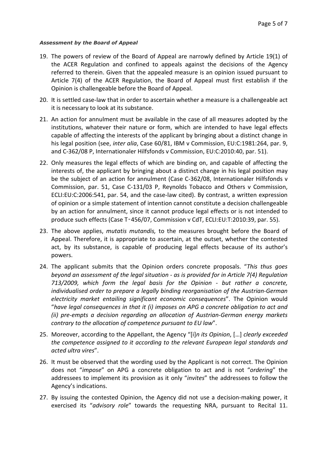#### *Assessment by the Board of Appeal*

- 19. The powers of review of the Board of Appeal are narrowly defined by Article 19(1) of the ACER Regulation and confined to appeals against the decisions of the Agency referred to therein. Given that the appealed measure is an opinion issued pursuant to Article 7(4) of the ACER Regulation, the Board of Appeal must first establish if the Opinion is challengeable before the Board of Appeal.
- 20. It is settled case-law that in order to ascertain whether a measure is a challengeable act it is necessary to look at its substance.
- 21. An action for annulment must be available in the case of all measures adopted by the institutions, whatever their nature or form, which are intended to have legal effects capable of affecting the interests of the applicant by bringing about a distinct change in his legal position (see, *inter alia*, Case 60/81, IBM v Commission, EU:C:1981:264, par. 9, and C-362/08 P, Internationaler Hilfsfonds v Commission, EU:C:2010:40, par. 51).
- 22. Only measures the legal effects of which are binding on, and capable of affecting the interests of, the applicant by bringing about a distinct change in his legal position may be the subject of an action for annulment (Case C-362/08, Internationaler Hilfsfonds v Commission, par. 51, Case C-131/03 P, Reynolds Tobacco and Others v Commission, ECLI:EU:C:2006:541, par. 54, and the case-law cited). By contrast, a written expression of opinion or a simple statement of intention cannot constitute a decision challengeable by an action for annulment, since it cannot produce legal effects or is not intended to produce such effects (Case T‑456/07, Commission v CdT, ECLI:EU:T:2010:39, par. 55).
- 23. The above applies, *mutatis mutandis,* to the measures brought before the Board of Appeal. Therefore, it is appropriate to ascertain, at the outset, whether the contested act, by its substance, is capable of producing legal effects because of its author's powers.
- 24. The applicant submits that the Opinion orders concrete proposals. "*This thus goes beyond an assessment of the legal situation - as is provided for in Article 7(4) Regulation 713/2009, which form the legal basis for the Opinion - but rather a concrete, individualised order to prepare a legally binding reorganisation of the Austrian-German electricity market entailing significant economic consequences*". The Opinion would "*have legal consequences in that it (i) imposes on APG a concrete obligation to act and (ii) pre-empts a decision regarding an allocation of Austrian-German energy markets contrary to the allocation of competence pursuant to EU law*".
- 25. Moreover, according to the Appellant, the Agency "[i]*n its Opinion*, […] *clearly exceeded the competence assigned to it according to the relevant European legal standards and acted ultra vires*".
- 26. It must be observed that the wording used by the Applicant is not correct. The Opinion does not "*impose*" on APG a concrete obligation to act and is not "*ordering*" the addressees to implement its provision as it only "*invites*" the addressees to follow the Agency's indications.
- 27. By issuing the contested Opinion, the Agency did not use a decision-making power, it exercised its "*advisory role*" towards the requesting NRA, pursuant to Recital 11.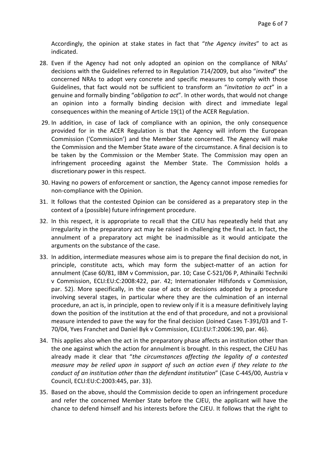Accordingly, the opinion at stake states in fact that "*the Agency invites*" to act as indicated.

- 28. Even if the Agency had not only adopted an opinion on the compliance of NRAs' decisions with the Guidelines referred to in Regulation 714/2009, but also "*invited*" the concerned NRAs to adopt very concrete and specific measures to comply with those Guidelines, that fact would not be sufficient to transform an "*invitation to act*" in a genuine and formally binding "*obligation to act*". In other words, that would not change an opinion into a formally binding decision with direct and immediate legal consequences within the meaning of Article 19(1) of the ACER Regulation.
- 29. In addition, in case of lack of compliance with an opinion, the only consequence provided for in the ACER Regulation is that the Agency will inform the European Commission ('Commission') and the Member State concerned. The Agency will make the Commission and the Member State aware of the circumstance. A final decision is to be taken by the Commission or the Member State. The Commission may open an infringement proceeding against the Member State. The Commission holds a discretionary power in this respect.
- 30. Having no powers of enforcement or sanction, the Agency cannot impose remedies for non-compliance with the Opinion.
- 31. It follows that the contested Opinion can be considered as a preparatory step in the context of a (possible) future infringement procedure.
- 32. In this respect, it is appropriate to recall that the CJEU has repeatedly held that any irregularity in the preparatory act may be raised in challenging the final act. In fact, the annulment of a preparatory act might be inadmissible as it would anticipate the arguments on the substance of the case.
- 33. In addition, intermediate measures whose aim is to prepare the final decision do not, in principle, constitute acts, which may form the subject-matter of an action for annulment (Case 60/81, IBM v Commission, par. 10; Case C-521/06 P, Athinaïki Techniki v Commission, ECLI:EU:C:2008:422, par. 42; Internationaler Hilfsfonds v Commission, par. 52). More specifically, in the case of acts or decisions adopted by a procedure involving several stages, in particular where they are the culmination of an internal procedure, an act is, in principle, open to review only if it is a measure definitively laying down the position of the institution at the end of that procedure, and not a provisional measure intended to pave the way for the final decision (Joined Cases T-391/03 and T-70/04, Yves Franchet and Daniel Byk v Commission, ECLI:EU:T:2006:190, par. 46).
- 34. This applies also when the act in the preparatory phase affects an institution other than the one against which the action for annulment is brought. In this respect, the CJEU has already made it clear that "*the circumstances affecting the legality of a contested measure may be relied upon in support of such an action even if they relate to the conduct of an institution other than the defendant institution*" (Case C-445/00, Austria v Council, ECLI:EU:C:2003:445, par. 33).
- 35. Based on the above, should the Commission decide to open an infringement procedure and refer the concerned Member State before the CJEU, the applicant will have the chance to defend himself and his interests before the CJEU. It follows that the right to